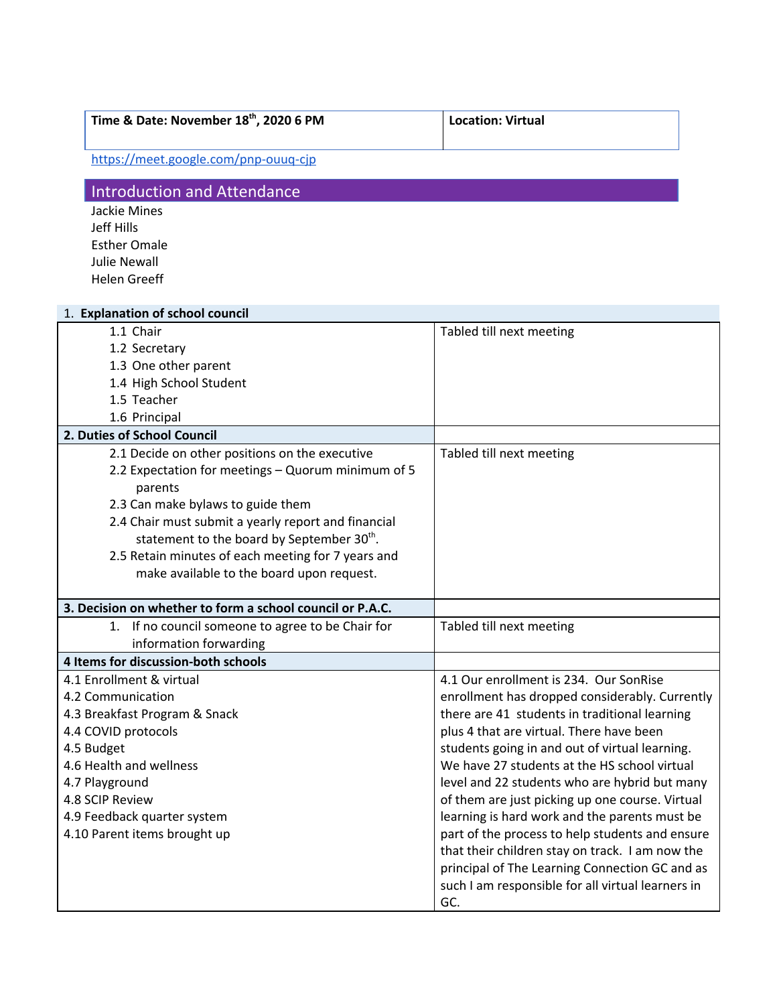| Time & Date: November 18th, 2020 6 PM | <b>Location: Virtual</b> |
|---------------------------------------|--------------------------|
| https://meet.google.com/pnp-ouug-cjp  |                          |

## Introduction and Attendance

Jackie Mines Jeff Hills Esther Omale Julie Newall Helen Greeff

| 1. Explanation of school council                          |                                                   |
|-----------------------------------------------------------|---------------------------------------------------|
| 1.1 Chair                                                 | Tabled till next meeting                          |
| 1.2 Secretary                                             |                                                   |
| 1.3 One other parent                                      |                                                   |
| 1.4 High School Student                                   |                                                   |
| 1.5 Teacher                                               |                                                   |
| 1.6 Principal                                             |                                                   |
| 2. Duties of School Council                               |                                                   |
| 2.1 Decide on other positions on the executive            | Tabled till next meeting                          |
| 2.2 Expectation for meetings - Quorum minimum of 5        |                                                   |
| parents                                                   |                                                   |
| 2.3 Can make bylaws to guide them                         |                                                   |
| 2.4 Chair must submit a yearly report and financial       |                                                   |
| statement to the board by September 30 <sup>th</sup> .    |                                                   |
| 2.5 Retain minutes of each meeting for 7 years and        |                                                   |
| make available to the board upon request.                 |                                                   |
|                                                           |                                                   |
| 3. Decision on whether to form a school council or P.A.C. |                                                   |
| If no council someone to agree to be Chair for<br>1.      | Tabled till next meeting                          |
| information forwarding                                    |                                                   |
| 4 Items for discussion-both schools                       |                                                   |
| 4.1 Enrollment & virtual                                  | 4.1 Our enrollment is 234. Our SonRise            |
| 4.2 Communication                                         | enrollment has dropped considerably. Currently    |
| 4.3 Breakfast Program & Snack                             | there are 41 students in traditional learning     |
| 4.4 COVID protocols                                       | plus 4 that are virtual. There have been          |
| 4.5 Budget                                                | students going in and out of virtual learning.    |
| 4.6 Health and wellness                                   | We have 27 students at the HS school virtual      |
| 4.7 Playground                                            | level and 22 students who are hybrid but many     |
| 4.8 SCIP Review                                           | of them are just picking up one course. Virtual   |
| 4.9 Feedback quarter system                               | learning is hard work and the parents must be     |
| 4.10 Parent items brought up                              | part of the process to help students and ensure   |
|                                                           | that their children stay on track. I am now the   |
|                                                           | principal of The Learning Connection GC and as    |
|                                                           | such I am responsible for all virtual learners in |
|                                                           | GC.                                               |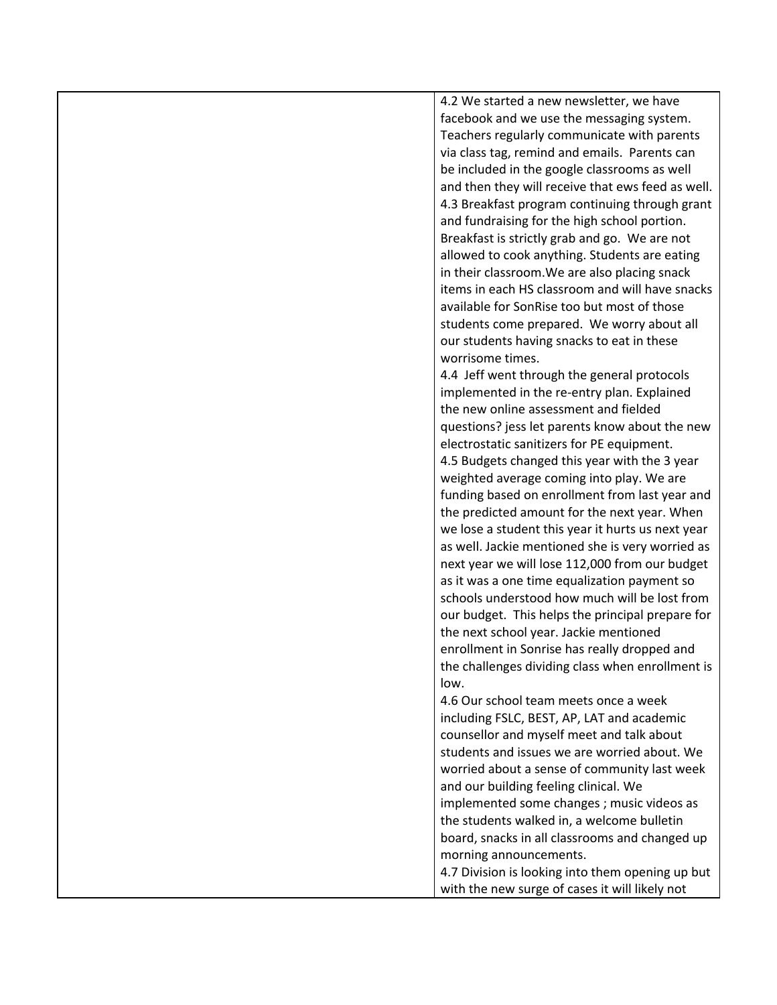4.2 We started a new newsletter, we have facebook and we use the messaging system. Teachers regularly communicate with parents via class tag, remind and emails. Parents can be included in the google classrooms as well and then they will receive that ews feed as well. 4.3 Breakfast program continuing through grant and fundraising for the high school portion. Breakfast is strictly grab and go. We are not allowed to cook anything. Students are eating in their classroom.We are also placing snack items in each HS classroom and will have snacks available for SonRise too but most of those students come prepared. We worry about all our students having snacks to eat in these worrisome times.

4.4 Jeff went through the general protocols implemented in the re-entry plan. Explained the new online assessment and fielded questions? jess let parents know about the new electrostatic sanitizers for PE equipment. 4.5 Budgets changed this year with the 3 year weighted average coming into play. We are funding based on enrollment from last year and the predicted amount for the next year. When we lose a student this year it hurts us next year as well. Jackie mentioned she is very worried as next year we will lose 112,000 from our budget as it was a one time equalization payment so schools understood how much will be lost from our budget. This helps the principal prepare for the next school year. Jackie mentioned enrollment in Sonrise has really dropped and the challenges dividing class when enrollment is low.

4.6 Our school team meets once a week including FSLC, BEST, AP, LAT and academic counsellor and myself meet and talk about students and issues we are worried about. We worried about a sense of community last week and our building feeling clinical. We implemented some changes ; music videos as the students walked in, a welcome bulletin board, snacks in all classrooms and changed up morning announcements.

4.7 Division is looking into them opening up but with the new surge of cases it will likely not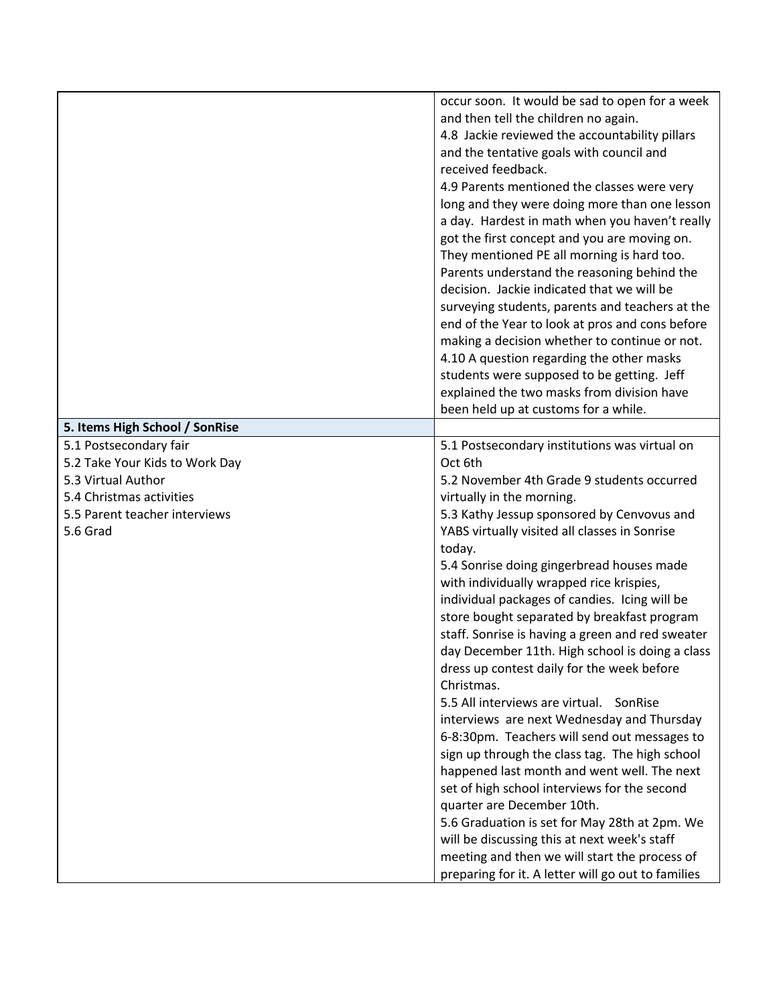|                                                                                                                                                         | occur soon. It would be sad to open for a week<br>and then tell the children no again.<br>4.8 Jackie reviewed the accountability pillars<br>and the tentative goals with council and<br>received feedback.<br>4.9 Parents mentioned the classes were very<br>long and they were doing more than one lesson<br>a day. Hardest in math when you haven't really<br>got the first concept and you are moving on.<br>They mentioned PE all morning is hard too.<br>Parents understand the reasoning behind the<br>decision. Jackie indicated that we will be<br>surveying students, parents and teachers at the<br>end of the Year to look at pros and cons before<br>making a decision whether to continue or not.<br>4.10 A question regarding the other masks<br>students were supposed to be getting. Jeff<br>explained the two masks from division have<br>been held up at customs for a while.                                                                                                                                                                                                                                          |
|---------------------------------------------------------------------------------------------------------------------------------------------------------|------------------------------------------------------------------------------------------------------------------------------------------------------------------------------------------------------------------------------------------------------------------------------------------------------------------------------------------------------------------------------------------------------------------------------------------------------------------------------------------------------------------------------------------------------------------------------------------------------------------------------------------------------------------------------------------------------------------------------------------------------------------------------------------------------------------------------------------------------------------------------------------------------------------------------------------------------------------------------------------------------------------------------------------------------------------------------------------------------------------------------------------|
| 5. Items High School / SonRise                                                                                                                          |                                                                                                                                                                                                                                                                                                                                                                                                                                                                                                                                                                                                                                                                                                                                                                                                                                                                                                                                                                                                                                                                                                                                          |
| 5.1 Postsecondary fair<br>5.2 Take Your Kids to Work Day<br>5.3 Virtual Author<br>5.4 Christmas activities<br>5.5 Parent teacher interviews<br>5.6 Grad | 5.1 Postsecondary institutions was virtual on<br>Oct 6th<br>5.2 November 4th Grade 9 students occurred<br>virtually in the morning.<br>5.3 Kathy Jessup sponsored by Cenvovus and<br>YABS virtually visited all classes in Sonrise<br>today.<br>5.4 Sonrise doing gingerbread houses made<br>with individually wrapped rice krispies,<br>individual packages of candies. Icing will be<br>store bought separated by breakfast program<br>staff. Sonrise is having a green and red sweater<br>day December 11th. High school is doing a class<br>dress up contest daily for the week before<br>Christmas.<br>5.5 All interviews are virtual. SonRise<br>interviews are next Wednesday and Thursday<br>6-8:30pm. Teachers will send out messages to<br>sign up through the class tag. The high school<br>happened last month and went well. The next<br>set of high school interviews for the second<br>quarter are December 10th.<br>5.6 Graduation is set for May 28th at 2pm. We<br>will be discussing this at next week's staff<br>meeting and then we will start the process of<br>preparing for it. A letter will go out to families |